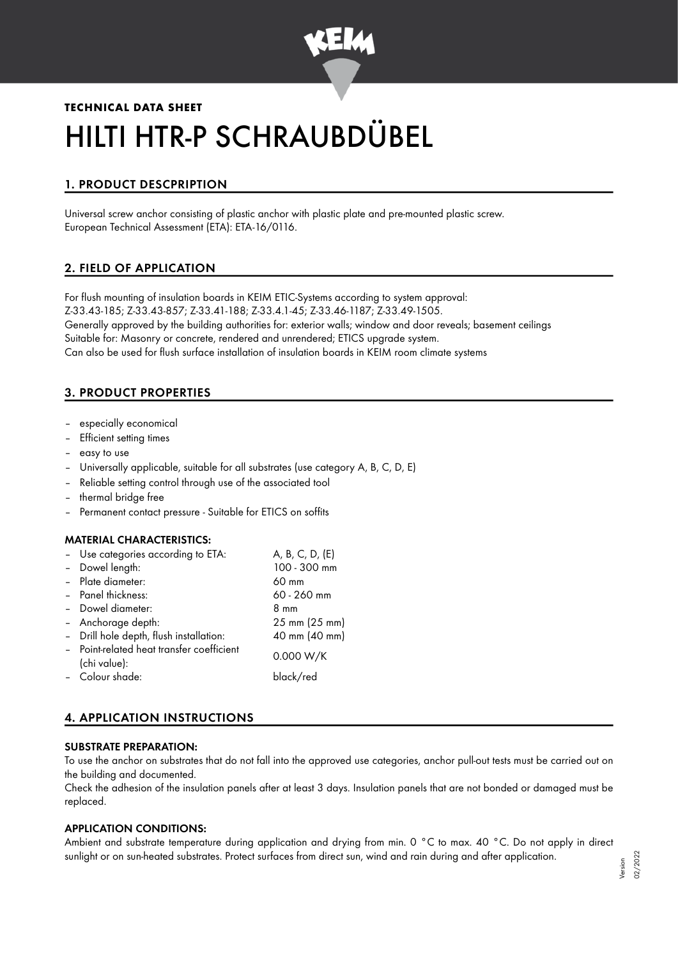

# **TECHNICAL DATA SHEET** HILTI HTR-P SCHRAUBDÜBEL

# 1. PRODUCT DESCPRIPTION

Universal screw anchor consisting of plastic anchor with plastic plate and pre-mounted plastic screw. European Technical Assessment (ETA): ETA-16/0116.

## 2. FIELD OF APPLICATION

For flush mounting of insulation boards in KEIM ETIC-Systems according to system approval: Z-33.43-185; Z-33.43-857; Z-33.41-188; Z-33.4.1-45; Z-33.46-1187; Z-33.49-1505. Generally approved by the building authorities for: exterior walls; window and door reveals; basement ceilings Suitable for: Masonry or concrete, rendered and unrendered; ETICS upgrade system. Can also be used for flush surface installation of insulation boards in KEIM room climate systems

# 3. PRODUCT PROPERTIES

- especially economical
- Efficient setting times
- easy to use
- Universally applicable, suitable for all substrates (use category A, B, C, D, E)
- Reliable setting control through use of the associated tool
- thermal bridge free
- Permanent contact pressure Suitable for ETICS on soffits

#### MATERIAL CHARACTERISTICS:

– Use categories according to ETA: A, B, C, D, (E)

| - Dowel length:                           | 100 - 300 mm  |
|-------------------------------------------|---------------|
| - Plate diameter:                         | 60 mm         |
| - Panel thickness:                        | 60 - 260 mm   |
| - Dowel diameter:                         | 8 mm          |
| - Anchorage depth:                        | 25 mm (25 mm) |
| - Drill hole depth, flush installation:   | 40 mm (40 mm) |
| - Point-related heat transfer coefficient | 0.000 W/K     |
| (chi value):                              |               |
| - Colour shade:                           | black/red     |
|                                           |               |

## 4. APPLICATION INSTRUCTIONS

#### SUBSTRATE PREPARATION:

To use the anchor on substrates that do not fall into the approved use categories, anchor pull-out tests must be carried out on the building and documented.

Check the adhesion of the insulation panels after at least 3 days. Insulation panels that are not bonded or damaged must be replaced.

## APPLICATION CONDITIONS:

Ambient and substrate temperature during application and drying from min. 0 °C to max. 40 °C. Do not apply in direct sunlight or on sun-heated substrates. Protect surfaces from direct sun, wind and rain during and after application.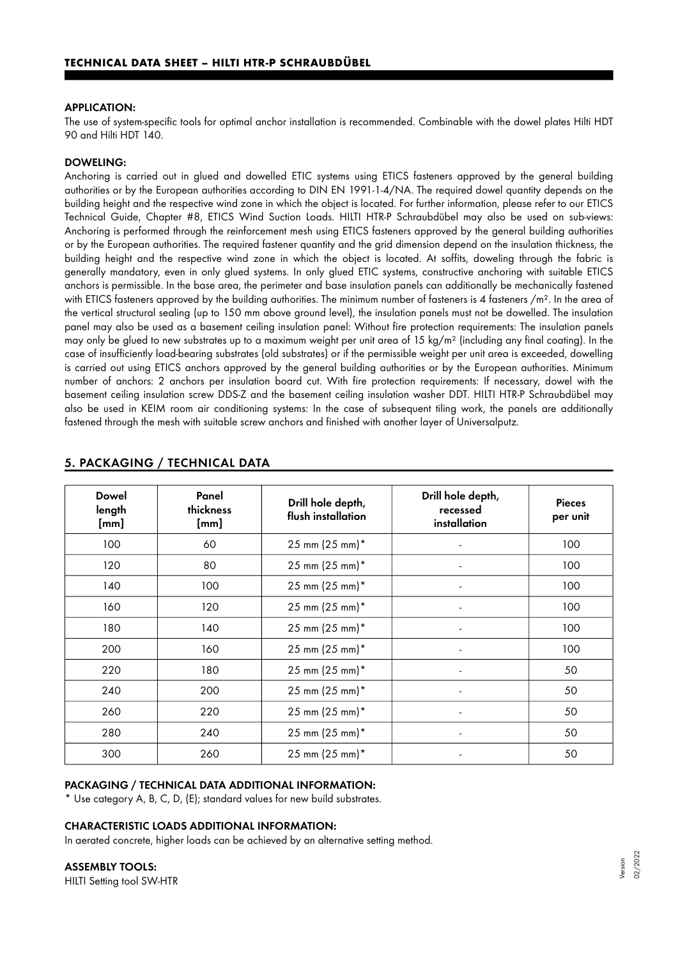#### APPLICATION:

The use of system-specific tools for optimal anchor installation is recommended. Combinable with the dowel plates Hilti HDT 90 and Hilti HDT 140.

#### DOWELING:

Anchoring is carried out in glued and dowelled ETIC systems using ETICS fasteners approved by the general building authorities or by the European authorities according to DIN EN 1991-1-4/NA. The required dowel quantity depends on the building height and the respective wind zone in which the object is located. For further information, please refer to our ETICS Technical Guide, Chapter #8, ETICS Wind Suction Loads. HILTI HTR-P Schraubdübel may also be used on sub-views: Anchoring is performed through the reinforcement mesh using ETICS fasteners approved by the general building authorities or by the European authorities. The required fastener quantity and the grid dimension depend on the insulation thickness, the building height and the respective wind zone in which the object is located. At soffits, doweling through the fabric is generally mandatory, even in only glued systems. In only glued ETIC systems, constructive anchoring with suitable ETICS anchors is permissible. In the base area, the perimeter and base insulation panels can additionally be mechanically fastened with ETICS fasteners approved by the building authorities. The minimum number of fasteners is 4 fasteners  $/m<sup>2</sup>$ . In the area of the vertical structural sealing (up to 150 mm above ground level), the insulation panels must not be dowelled. The insulation panel may also be used as a basement ceiling insulation panel: Without fire protection requirements: The insulation panels may only be glued to new substrates up to a maximum weight per unit area of 15 kg/m² (including any final coating). In the case of insufficiently load-bearing substrates (old substrates) or if the permissible weight per unit area is exceeded, dowelling is carried out using ETICS anchors approved by the general building authorities or by the European authorities. Minimum number of anchors: 2 anchors per insulation board cut. With fire protection requirements: If necessary, dowel with the basement ceiling insulation screw DDS-Z and the basement ceiling insulation washer DDT. HILTI HTR-P Schraubdübel may also be used in KEIM room air conditioning systems: In the case of subsequent tiling work, the panels are additionally fastened through the mesh with suitable screw anchors and finished with another layer of Universalputz.

| <b>Dowel</b><br>length<br>[mm] | Panel<br>thickness<br>[mm] | Drill hole depth,<br>flush installation | Drill hole depth,<br>recessed<br>installation | <b>Pieces</b><br>per unit |
|--------------------------------|----------------------------|-----------------------------------------|-----------------------------------------------|---------------------------|
| 100                            | 60                         | $25 \text{ mm} (25 \text{ mm})^*$       |                                               | 100                       |
| 120                            | 80                         | 25 mm (25 mm)*                          |                                               | 100                       |
| 140                            | 100                        | $25 \text{ mm} (25 \text{ mm})^*$       | ٠                                             | 100                       |
| 160                            | 120                        | $25 \text{ mm} (25 \text{ mm})^*$       |                                               | 100                       |
| 180                            | 140                        | $25 \text{ mm} (25 \text{ mm})^*$       |                                               | 100                       |
| 200                            | 160                        | $25 \text{ mm} (25 \text{ mm})^*$       |                                               | 100                       |
| 220                            | 180                        | $25 \text{ mm} (25 \text{ mm})^*$       |                                               | 50                        |
| 240                            | 200                        | $25 \text{ mm} (25 \text{ mm})^*$       |                                               | 50                        |
| 260                            | 220                        | 25 mm (25 mm)*                          |                                               | 50                        |
| 280                            | 240                        | $25 \text{ mm} (25 \text{ mm})^*$       |                                               | 50                        |
| 300                            | 260                        | 25 mm (25 mm)*                          |                                               | 50                        |

## 5. PACKAGING / TECHNICAL DATA

#### PACKAGING / TECHNICAL DATA ADDITIONAL INFORMATION:

\* Use category A, B, C, D, (E); standard values for new build substrates.

#### CHARACTERISTIC LOADS ADDITIONAL INFORMATION:

In aerated concrete, higher loads can be achieved by an alternative setting method.

#### ASSEMBLY TOOLS:

HILTI Setting tool SW-HTR